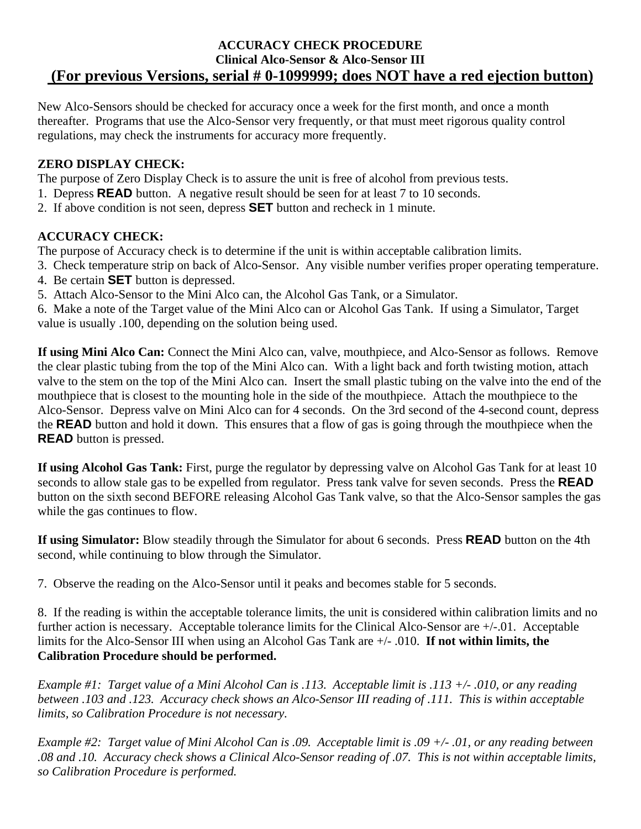### **ACCURACY CHECK PROCEDURE Clinical Alco-Sensor & Alco-Sensor III (For previous Versions, serial # 0-1099999; does NOT have a red ejection button)**

New Alco-Sensors should be checked for accuracy once a week for the first month, and once a month thereafter. Programs that use the Alco-Sensor very frequently, or that must meet rigorous quality control regulations, may check the instruments for accuracy more frequently.

## **ZERO DISPLAY CHECK:**

The purpose of Zero Display Check is to assure the unit is free of alcohol from previous tests.

- 1. Depress **READ** button. A negative result should be seen for at least 7 to 10 seconds.
- 2. If above condition is not seen, depress **SET** button and recheck in 1 minute.

## **ACCURACY CHECK:**

The purpose of Accuracy check is to determine if the unit is within acceptable calibration limits.

- 3. Check temperature strip on back of Alco-Sensor. Any visible number verifies proper operating temperature.
- 4. Be certain **SET** button is depressed.
- 5. Attach Alco-Sensor to the Mini Alco can, the Alcohol Gas Tank, or a Simulator.

6. Make a note of the Target value of the Mini Alco can or Alcohol Gas Tank. If using a Simulator, Target value is usually .100, depending on the solution being used.

**If using Mini Alco Can:** Connect the Mini Alco can, valve, mouthpiece, and Alco-Sensor as follows. Remove the clear plastic tubing from the top of the Mini Alco can. With a light back and forth twisting motion, attach valve to the stem on the top of the Mini Alco can. Insert the small plastic tubing on the valve into the end of the mouthpiece that is closest to the mounting hole in the side of the mouthpiece. Attach the mouthpiece to the Alco-Sensor. Depress valve on Mini Alco can for 4 seconds. On the 3rd second of the 4-second count, depress the **READ** button and hold it down. This ensures that a flow of gas is going through the mouthpiece when the **READ** button is pressed.

**If using Alcohol Gas Tank:** First, purge the regulator by depressing valve on Alcohol Gas Tank for at least 10 seconds to allow stale gas to be expelled from regulator. Press tank valve for seven seconds. Press the **READ**  button on the sixth second BEFORE releasing Alcohol Gas Tank valve, so that the Alco-Sensor samples the gas while the gas continues to flow.

**If using Simulator:** Blow steadily through the Simulator for about 6 seconds. Press **READ** button on the 4th second, while continuing to blow through the Simulator.

7. Observe the reading on the Alco-Sensor until it peaks and becomes stable for 5 seconds.

8. If the reading is within the acceptable tolerance limits, the unit is considered within calibration limits and no further action is necessary. Acceptable tolerance limits for the Clinical Alco-Sensor are  $+/-01$ . Acceptable limits for the Alco-Sensor III when using an Alcohol Gas Tank are  $+/-$  .010. **If not within limits, the Calibration Procedure should be performed.**

*Example #1: Target value of a Mini Alcohol Can is .113. Acceptable limit is .113 +/- .010, or any reading between .103 and .123. Accuracy check shows an Alco-Sensor III reading of .111. This is within acceptable limits, so Calibration Procedure is not necessary.* 

*Example #2: Target value of Mini Alcohol Can is .09. Acceptable limit is .09 +/- .01, or any reading between .08 and .10. Accuracy check shows a Clinical Alco-Sensor reading of .07. This is not within acceptable limits, so Calibration Procedure is performed.*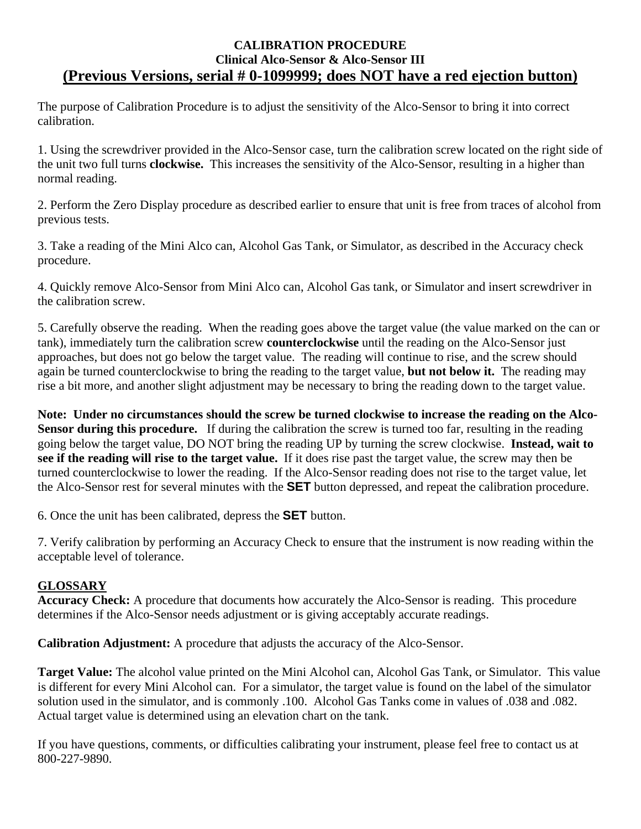### **CALIBRATION PROCEDURE Clinical Alco-Sensor & Alco-Sensor III (Previous Versions, serial # 0-1099999; does NOT have a red ejection button)**

The purpose of Calibration Procedure is to adjust the sensitivity of the Alco-Sensor to bring it into correct calibration.

1. Using the screwdriver provided in the Alco-Sensor case, turn the calibration screw located on the right side of the unit two full turns **clockwise.** This increases the sensitivity of the Alco-Sensor, resulting in a higher than normal reading.

2. Perform the Zero Display procedure as described earlier to ensure that unit is free from traces of alcohol from previous tests.

3. Take a reading of the Mini Alco can, Alcohol Gas Tank, or Simulator, as described in the Accuracy check procedure.

4. Quickly remove Alco-Sensor from Mini Alco can, Alcohol Gas tank, or Simulator and insert screwdriver in the calibration screw.

5. Carefully observe the reading. When the reading goes above the target value (the value marked on the can or tank), immediately turn the calibration screw **counterclockwise** until the reading on the Alco-Sensor just approaches, but does not go below the target value. The reading will continue to rise, and the screw should again be turned counterclockwise to bring the reading to the target value, **but not below it.** The reading may rise a bit more, and another slight adjustment may be necessary to bring the reading down to the target value.

**Note: Under no circumstances should the screw be turned clockwise to increase the reading on the Alco-Sensor during this procedure.** If during the calibration the screw is turned too far, resulting in the reading going below the target value, DO NOT bring the reading UP by turning the screw clockwise. **Instead, wait to see if the reading will rise to the target value.** If it does rise past the target value, the screw may then be turned counterclockwise to lower the reading. If the Alco-Sensor reading does not rise to the target value, let the Alco-Sensor rest for several minutes with the **SET** button depressed, and repeat the calibration procedure.

6. Once the unit has been calibrated, depress the **SET** button.

7. Verify calibration by performing an Accuracy Check to ensure that the instrument is now reading within the acceptable level of tolerance.

### **GLOSSARY**

**Accuracy Check:** A procedure that documents how accurately the Alco-Sensor is reading. This procedure determines if the Alco-Sensor needs adjustment or is giving acceptably accurate readings.

**Calibration Adjustment:** A procedure that adjusts the accuracy of the Alco-Sensor.

**Target Value:** The alcohol value printed on the Mini Alcohol can, Alcohol Gas Tank, or Simulator. This value is different for every Mini Alcohol can. For a simulator, the target value is found on the label of the simulator solution used in the simulator, and is commonly .100. Alcohol Gas Tanks come in values of .038 and .082. Actual target value is determined using an elevation chart on the tank.

If you have questions, comments, or difficulties calibrating your instrument, please feel free to contact us at 800-227-9890.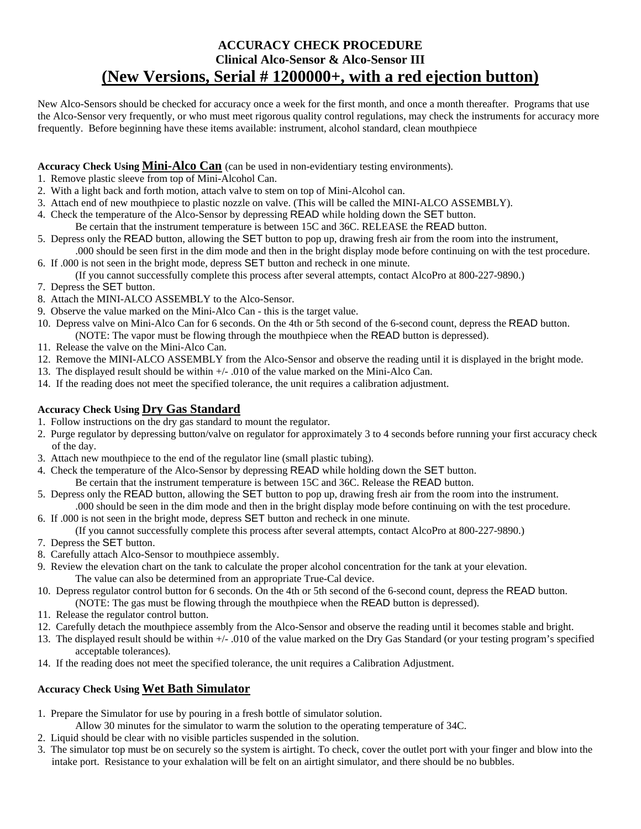# **ACCURACY CHECK PROCEDURE Clinical Alco-Sensor & Alco-Sensor III (New Versions, Serial # 1200000+, with a red ejection button)**

New Alco-Sensors should be checked for accuracy once a week for the first month, and once a month thereafter. Programs that use the Alco-Sensor very frequently, or who must meet rigorous quality control regulations, may check the instruments for accuracy more frequently. Before beginning have these items available: instrument, alcohol standard, clean mouthpiece

### **Accuracy Check Using Mini-Alco Can** (can be used in non-evidentiary testing environments).

- 1. Remove plastic sleeve from top of Mini-Alcohol Can.
- 2. With a light back and forth motion, attach valve to stem on top of Mini-Alcohol can.
- 3. Attach end of new mouthpiece to plastic nozzle on valve. (This will be called the MINI-ALCO ASSEMBLY).
- 4. Check the temperature of the Alco-Sensor by depressing READ while holding down the SET button. Be certain that the instrument temperature is between 15C and 36C. RELEASE the READ button.
- 5. Depress only the READ button, allowing the SET button to pop up, drawing fresh air from the room into the instrument, .000 should be seen first in the dim mode and then in the bright display mode before continuing on with the test procedure.
- 6. If .000 is not seen in the bright mode, depress SET button and recheck in one minute. (If you cannot successfully complete this process after several attempts, contact AlcoPro at 800-227-9890.)
- 7. Depress the SET button.
- 8. Attach the MINI-ALCO ASSEMBLY to the Alco-Sensor.
- 9. Observe the value marked on the Mini-Alco Can this is the target value.
- 10. Depress valve on Mini-Alco Can for 6 seconds. On the 4th or 5th second of the 6-second count, depress the READ button.
	- (NOTE: The vapor must be flowing through the mouthpiece when the READ button is depressed).
- 11. Release the valve on the Mini-Alco Can.
- 12. Remove the MINI-ALCO ASSEMBLY from the Alco-Sensor and observe the reading until it is displayed in the bright mode.
- 13. The displayed result should be within +/- .010 of the value marked on the Mini-Alco Can.
- 14. If the reading does not meet the specified tolerance, the unit requires a calibration adjustment.

### **Accuracy Check Using Dry Gas Standard**

- 1. Follow instructions on the dry gas standard to mount the regulator.
- 2. Purge regulator by depressing button/valve on regulator for approximately 3 to 4 seconds before running your first accuracy check of the day.
- 3. Attach new mouthpiece to the end of the regulator line (small plastic tubing).
- 4. Check the temperature of the Alco-Sensor by depressing READ while holding down the SET button. Be certain that the instrument temperature is between 15C and 36C. Release the READ button.
- 5. Depress only the READ button, allowing the SET button to pop up, drawing fresh air from the room into the instrument.
- .000 should be seen in the dim mode and then in the bright display mode before continuing on with the test procedure. 6. If .000 is not seen in the bright mode, depress SET button and recheck in one minute.
- (If you cannot successfully complete this process after several attempts, contact AlcoPro at 800-227-9890.)
- 7. Depress the SET button.
- 8. Carefully attach Alco-Sensor to mouthpiece assembly.
- 9. Review the elevation chart on the tank to calculate the proper alcohol concentration for the tank at your elevation. The value can also be determined from an appropriate True-Cal device.
- 10. Depress regulator control button for 6 seconds. On the 4th or 5th second of the 6-second count, depress the READ button. (NOTE: The gas must be flowing through the mouthpiece when the READ button is depressed).
- 11. Release the regulator control button.
- 12. Carefully detach the mouthpiece assembly from the Alco-Sensor and observe the reading until it becomes stable and bright.
- 13. The displayed result should be within +/- .010 of the value marked on the Dry Gas Standard (or your testing program's specified acceptable tolerances).
- 14. If the reading does not meet the specified tolerance, the unit requires a Calibration Adjustment.

### **Accuracy Check Using Wet Bath Simulator**

- 1. Prepare the Simulator for use by pouring in a fresh bottle of simulator solution.
- Allow 30 minutes for the simulator to warm the solution to the operating temperature of 34C.
- 2. Liquid should be clear with no visible particles suspended in the solution.
- 3. The simulator top must be on securely so the system is airtight. To check, cover the outlet port with your finger and blow into the intake port. Resistance to your exhalation will be felt on an airtight simulator, and there should be no bubbles.